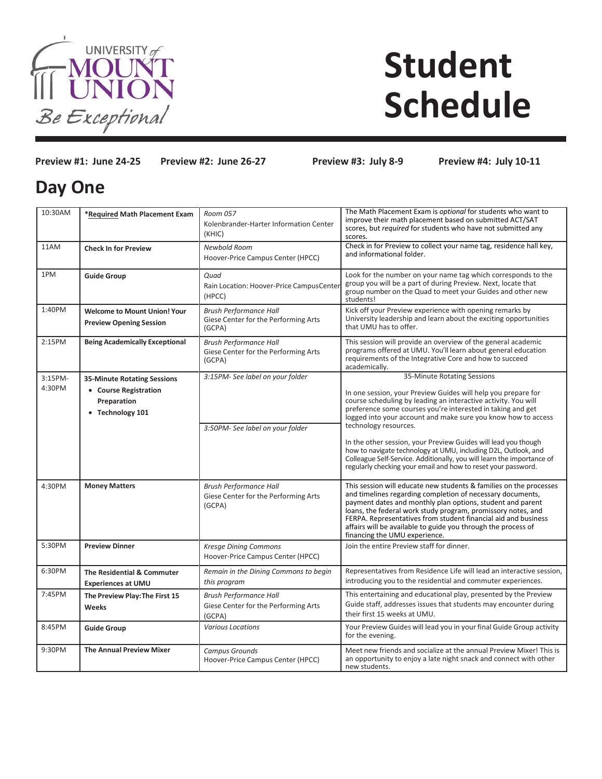

# **Student Schedule**

**Preview #1: June 24-25 Preview #2: June 26-27 Preview #3: July 8-9 Preview #4: July 10-11**

## **Day One**

| 10:30AM | *Required Math Placement Exam                                         | Room 057<br>Kolenbrander-Harter Information Center<br>(KHIC)                    | The Math Placement Exam is optional for students who want to<br>improve their math placement based on submitted ACT/SAT<br>scores, but required for students who have not submitted any<br>scores.                                                                                                                                                                                                                                 |
|---------|-----------------------------------------------------------------------|---------------------------------------------------------------------------------|------------------------------------------------------------------------------------------------------------------------------------------------------------------------------------------------------------------------------------------------------------------------------------------------------------------------------------------------------------------------------------------------------------------------------------|
| 11AM    | <b>Check In for Preview</b>                                           | Newbold Room<br>Hoover-Price Campus Center (HPCC)                               | Check in for Preview to collect your name tag, residence hall key,<br>and informational folder.                                                                                                                                                                                                                                                                                                                                    |
| 1PM     | <b>Guide Group</b>                                                    | Quad<br>Rain Location: Hoover-Price CampusCenter<br>(HPCC)                      | Look for the number on your name tag which corresponds to the<br>group you will be a part of during Preview. Next, locate that<br>group number on the Quad to meet your Guides and other new<br>students!                                                                                                                                                                                                                          |
| 1:40PM  | <b>Welcome to Mount Union! Your</b><br><b>Preview Opening Session</b> | <b>Brush Performance Hall</b><br>Giese Center for the Performing Arts<br>(GCPA) | Kick off your Preview experience with opening remarks by<br>University leadership and learn about the exciting opportunities<br>that UMU has to offer.                                                                                                                                                                                                                                                                             |
| 2:15PM  | <b>Being Academically Exceptional</b>                                 | <b>Brush Performance Hall</b><br>Giese Center for the Performing Arts<br>(GCPA) | This session will provide an overview of the general academic<br>programs offered at UMU. You'll learn about general education<br>requirements of the Integrative Core and how to succeed<br>academically.                                                                                                                                                                                                                         |
| 3:15PM- | <b>35-Minute Rotating Sessions</b>                                    | 3:15PM- See label on your folder                                                | 35-Minute Rotating Sessions                                                                                                                                                                                                                                                                                                                                                                                                        |
| 4:30PM  | • Course Registration<br>Preparation<br>• Technology 101              | 3:50PM- See label on your folder                                                | In one session, your Preview Guides will help you prepare for<br>course scheduling by leading an interactive activity. You will<br>preference some courses you're interested in taking and get<br>logged into your account and make sure you know how to access<br>technology resources.                                                                                                                                           |
|         |                                                                       |                                                                                 | In the other session, your Preview Guides will lead you though<br>how to navigate technology at UMU, including D2L, Outlook, and<br>Colleague Self-Service. Additionally, you will learn the importance of<br>regularly checking your email and how to reset your password.                                                                                                                                                        |
| 4:30PM  | <b>Money Matters</b>                                                  | <b>Brush Performance Hall</b><br>Giese Center for the Performing Arts<br>(GCPA) | This session will educate new students & families on the processes<br>and timelines regarding completion of necessary documents,<br>payment dates and monthly plan options, student and parent<br>loans, the federal work study program, promissory notes, and<br>FERPA. Representatives from student financial aid and business<br>affairs will be available to guide you through the process of<br>financing the UMU experience. |
| 5:30PM  | <b>Preview Dinner</b>                                                 | <b>Kresge Dining Commons</b><br>Hoover-Price Campus Center (HPCC)               | Join the entire Preview staff for dinner.                                                                                                                                                                                                                                                                                                                                                                                          |
| 6:30PM  | The Residential & Commuter<br><b>Experiences at UMU</b>               | Remain in the Dining Commons to begin<br>this program                           | Representatives from Residence Life will lead an interactive session,<br>introducing you to the residential and commuter experiences.                                                                                                                                                                                                                                                                                              |
| 7:45PM  | The Preview Play: The First 15<br>Weeks                               | <b>Brush Performance Hall</b><br>Giese Center for the Performing Arts<br>(GCPA) | This entertaining and educational play, presented by the Preview<br>Guide staff, addresses issues that students may encounter during<br>their first 15 weeks at UMU.                                                                                                                                                                                                                                                               |
| 8:45PM  | <b>Guide Group</b>                                                    | <b>Various Locations</b>                                                        | Your Preview Guides will lead you in your final Guide Group activity<br>for the evening.                                                                                                                                                                                                                                                                                                                                           |
| 9:30PM  | <b>The Annual Preview Mixer</b>                                       | <b>Campus Grounds</b><br>Hoover-Price Campus Center (HPCC)                      | Meet new friends and socialize at the annual Preview Mixer! This is<br>an opportunity to enjoy a late night snack and connect with other<br>new students.                                                                                                                                                                                                                                                                          |